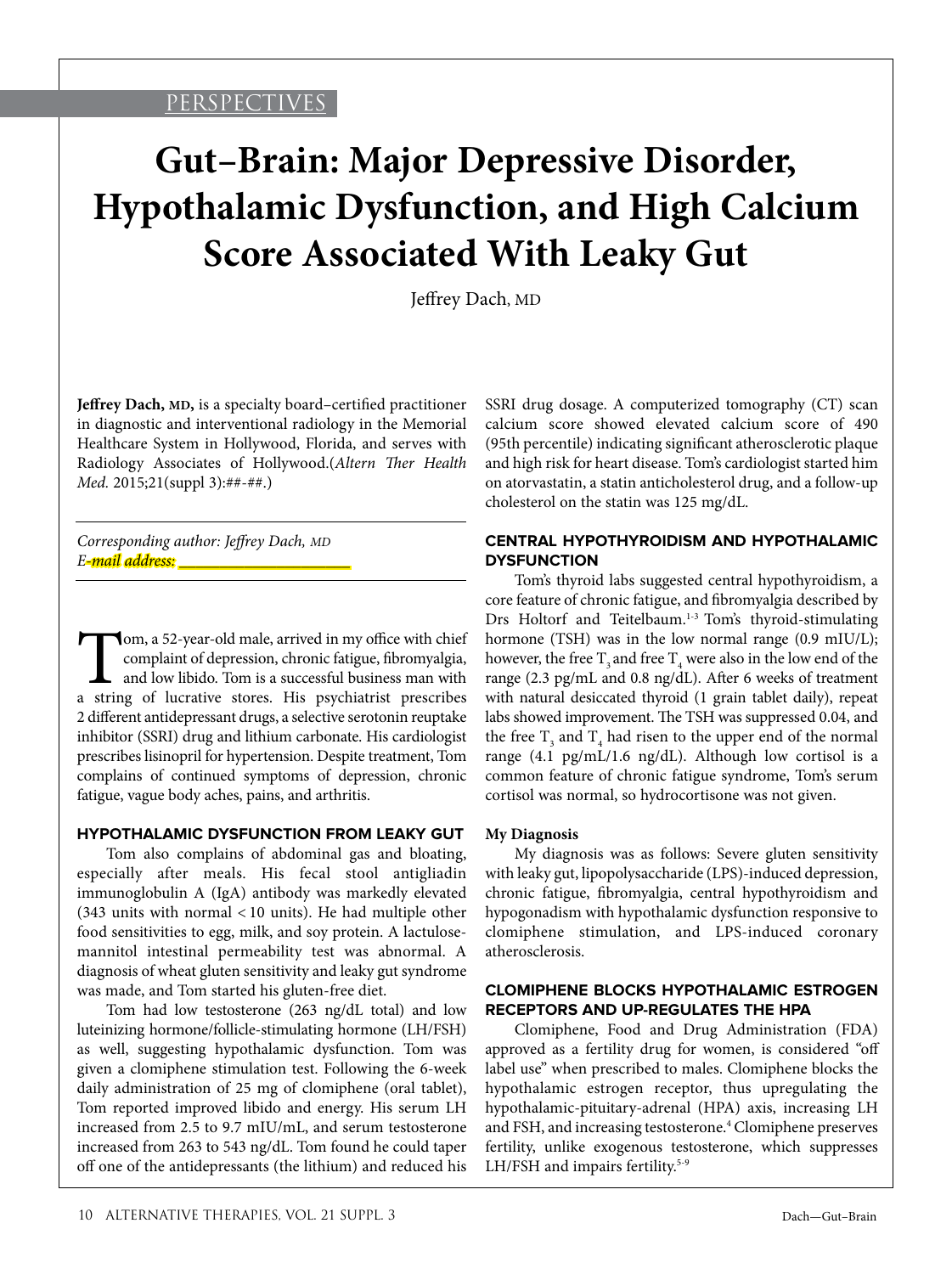## PERSPECTIVES

# **Gut–Brain: Major Depressive Disorder, Hypothalamic Dysfunction, and High Calcium Score Associated With Leaky Gut**

Jeffrey Dach, MD

**Jeffrey Dach, MD,** is a specialty board–certified practitioner in diagnostic and interventional radiology in the Memorial Healthcare System in Hollywood, Florida, and serves with Radiology Associates of Hollywood.(*Altern Ther Health Med.* 2015;21(suppl 3):##-##.)

*Corresponding author: Jeffrey Dach, MD E-mail address: \_\_\_\_\_\_\_\_\_\_\_\_\_\_\_\_\_\_\_\_\_*

Tom, a 52-year-old male, arrived in my office with chief complaint of depression, chronic fatigue, fibromyalgia, and low libido. Tom is a successful business man with a string of lucrative stores. His psychiatrist prescribes 2 different antidepressant drugs, a selective serotonin reuptake inhibitor (SSRI) drug and lithium carbonate. His cardiologist prescribes lisinopril for hypertension. Despite treatment, Tom complains of continued symptoms of depression, chronic fatigue, vague body aches, pains, and arthritis.

#### **HYPOTHALAMIC DYSFUNCTION FROM LEAKY GUT**

Tom also complains of abdominal gas and bloating, especially after meals. His fecal stool antigliadin immunoglobulin A (IgA) antibody was markedly elevated (343 units with normal < 10 units). He had multiple other food sensitivities to egg, milk, and soy protein. A lactulosemannitol intestinal permeability test was abnormal. A diagnosis of wheat gluten sensitivity and leaky gut syndrome was made, and Tom started his gluten-free diet.

Tom had low testosterone (263 ng/dL total) and low luteinizing hormone/follicle-stimulating hormone (LH/FSH) as well, suggesting hypothalamic dysfunction. Tom was given a clomiphene stimulation test. Following the 6-week daily administration of 25 mg of clomiphene (oral tablet), Tom reported improved libido and energy. His serum LH increased from 2.5 to 9.7 mIU/mL, and serum testosterone increased from 263 to 543 ng/dL. Tom found he could taper off one of the antidepressants (the lithium) and reduced his SSRI drug dosage. A computerized tomography (CT) scan calcium score showed elevated calcium score of 490 (95th percentile) indicating significant atherosclerotic plaque and high risk for heart disease. Tom's cardiologist started him on atorvastatin, a statin anticholesterol drug, and a follow-up cholesterol on the statin was 125 mg/dL.

## **CENTRAL HYPOTHYROIDISM AND HYPOTHALAMIC DYSFUNCTION**

Tom's thyroid labs suggested central hypothyroidism, a core feature of chronic fatigue, and fibromyalgia described by Drs Holtorf and Teitelbaum.<sup>1-3</sup> Tom's thyroid-stimulating hormone (TSH) was in the low normal range (0.9 mIU/L); however, the free  $\text{T}_\text{3}$  and free  $\text{T}_\text{4}$  were also in the low end of the range (2.3 pg/mL and 0.8 ng/dL). After 6 weeks of treatment with natural desiccated thyroid (1 grain tablet daily), repeat labs showed improvement. The TSH was suppressed 0.04, and the free  $T_3$  and  $T_4$  had risen to the upper end of the normal range (4.1 pg/mL/1.6 ng/dL). Although low cortisol is a common feature of chronic fatigue syndrome, Tom's serum cortisol was normal, so hydrocortisone was not given.

#### **My Diagnosis**

My diagnosis was as follows: Severe gluten sensitivity with leaky gut, lipopolysaccharide (LPS)-induced depression, chronic fatigue, fibromyalgia, central hypothyroidism and hypogonadism with hypothalamic dysfunction responsive to clomiphene stimulation, and LPS-induced coronary atherosclerosis.

#### **CLOMIPHENE BLOCKS HYPOTHALAMIC ESTROGEN RECEPTORS AND UP-REGULATES THE HPA**

Clomiphene, Food and Drug Administration (FDA) approved as a fertility drug for women, is considered "off label use" when prescribed to males. Clomiphene blocks the hypothalamic estrogen receptor, thus upregulating the hypothalamic-pituitary-adrenal (HPA) axis, increasing LH and FSH, and increasing testosterone.4 Clomiphene preserves fertility, unlike exogenous testosterone, which suppresses LH/FSH and impairs fertility.<sup>5-9</sup>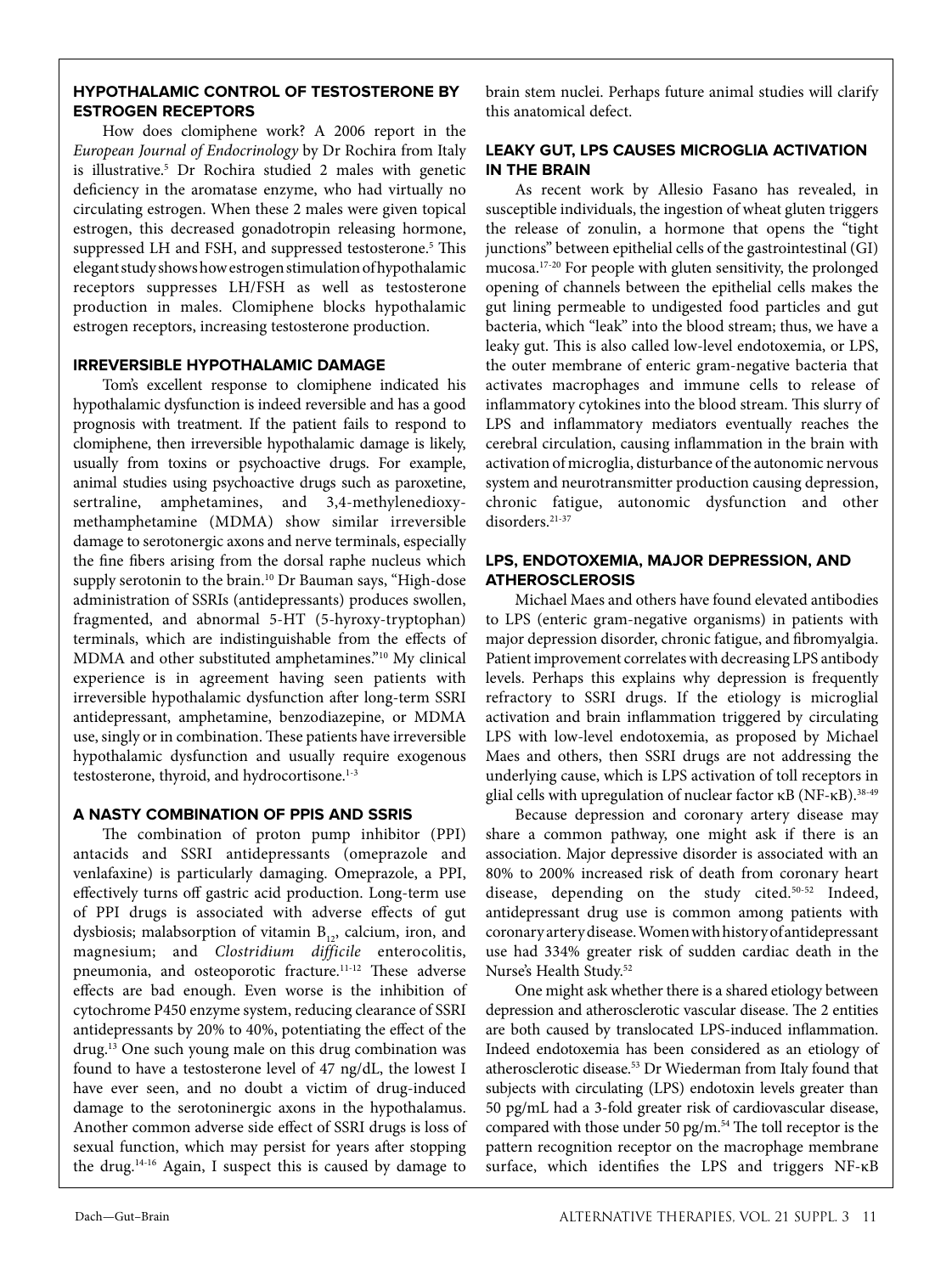## **HYPOTHALAMIC CONTROL OF TESTOSTERONE BY ESTROGEN RECEPTORS**

How does clomiphene work? A 2006 report in the *European Journal of Endocrinology* by Dr Rochira from Italy is illustrative.5 Dr Rochira studied 2 males with genetic deficiency in the aromatase enzyme, who had virtually no circulating estrogen. When these 2 males were given topical estrogen, this decreased gonadotropin releasing hormone, suppressed LH and FSH, and suppressed testosterone.<sup>5</sup> This elegant study shows how estrogen stimulation of hypothalamic receptors suppresses LH/FSH as well as testosterone production in males. Clomiphene blocks hypothalamic estrogen receptors, increasing testosterone production.

## **IRREVERSIBLE HYPOTHALAMIC DAMAGE**

Tom's excellent response to clomiphene indicated his hypothalamic dysfunction is indeed reversible and has a good prognosis with treatment. If the patient fails to respond to clomiphene, then irreversible hypothalamic damage is likely, usually from toxins or psychoactive drugs. For example, animal studies using psychoactive drugs such as paroxetine, sertraline, amphetamines, and 3,4-methylenedioxymethamphetamine (MDMA) show similar irreversible damage to serotonergic axons and nerve terminals, especially the fine fibers arising from the dorsal raphe nucleus which supply serotonin to the brain.<sup>10</sup> Dr Bauman says, "High-dose administration of SSRIs (antidepressants) produces swollen, fragmented, and abnormal 5-HT (5-hyroxy-tryptophan) terminals, which are indistinguishable from the effects of MDMA and other substituted amphetamines."10 My clinical experience is in agreement having seen patients with irreversible hypothalamic dysfunction after long-term SSRI antidepressant, amphetamine, benzodiazepine, or MDMA use, singly or in combination. These patients have irreversible hypothalamic dysfunction and usually require exogenous testosterone, thyroid, and hydrocortisone.<sup>1-3</sup>

## **A NASTY COMBINATION OF PPIS AND SSRIS**

The combination of proton pump inhibitor (PPI) antacids and SSRI antidepressants (omeprazole and venlafaxine) is particularly damaging. Omeprazole, a PPI, effectively turns off gastric acid production. Long-term use of PPI drugs is associated with adverse effects of gut dysbiosis; malabsorption of vitamin  $B_{12}$ , calcium, iron, and magnesium; and *Clostridium difficile* enterocolitis, pneumonia, and osteoporotic fracture.<sup>11-12</sup> These adverse effects are bad enough. Even worse is the inhibition of cytochrome P450 enzyme system, reducing clearance of SSRI antidepressants by 20% to 40%, potentiating the effect of the drug.13 One such young male on this drug combination was found to have a testosterone level of 47 ng/dL, the lowest I have ever seen, and no doubt a victim of drug-induced damage to the serotoninergic axons in the hypothalamus. Another common adverse side effect of SSRI drugs is loss of sexual function, which may persist for years after stopping the drug.14-16 Again, I suspect this is caused by damage to

brain stem nuclei. Perhaps future animal studies will clarify this anatomical defect.

## **LEAKY GUT, LPS CAUSES MICROGLIA ACTIVATION IN THE BRAIN**

As recent work by Allesio Fasano has revealed, in susceptible individuals, the ingestion of wheat gluten triggers the release of zonulin, a hormone that opens the "tight junctions" between epithelial cells of the gastrointestinal (GI) mucosa.17-20 For people with gluten sensitivity, the prolonged opening of channels between the epithelial cells makes the gut lining permeable to undigested food particles and gut bacteria, which "leak" into the blood stream; thus, we have a leaky gut. This is also called low-level endotoxemia, or LPS, the outer membrane of enteric gram-negative bacteria that activates macrophages and immune cells to release of inflammatory cytokines into the blood stream. This slurry of LPS and inflammatory mediators eventually reaches the cerebral circulation, causing inflammation in the brain with activation of microglia, disturbance of the autonomic nervous system and neurotransmitter production causing depression, chronic fatigue, autonomic dysfunction and other disorders.<sup>21-37</sup>

## **LPS, ENDOTOXEMIA, MAJOR DEPRESSION, AND ATHEROSCLEROSIS**

Michael Maes and others have found elevated antibodies to LPS (enteric gram-negative organisms) in patients with major depression disorder, chronic fatigue, and fibromyalgia. Patient improvement correlates with decreasing LPS antibody levels. Perhaps this explains why depression is frequently refractory to SSRI drugs. If the etiology is microglial activation and brain inflammation triggered by circulating LPS with low-level endotoxemia, as proposed by Michael Maes and others, then SSRI drugs are not addressing the underlying cause, which is LPS activation of toll receptors in glial cells with upregulation of nuclear factor κΒ (NF-κΒ).<sup>38-49</sup>

Because depression and coronary artery disease may share a common pathway, one might ask if there is an association. Major depressive disorder is associated with an 80% to 200% increased risk of death from coronary heart disease, depending on the study cited.<sup>50-52</sup> Indeed, antidepressant drug use is common among patients with coronary artery disease. Women with history of antidepressant use had 334% greater risk of sudden cardiac death in the Nurse's Health Study.52

One might ask whether there is a shared etiology between depression and atherosclerotic vascular disease. The 2 entities are both caused by translocated LPS-induced inflammation. Indeed endotoxemia has been considered as an etiology of atherosclerotic disease.53 Dr Wiederman from Italy found that subjects with circulating (LPS) endotoxin levels greater than 50 pg/mL had a 3-fold greater risk of cardiovascular disease, compared with those under 50 pg/m. $54$  The toll receptor is the pattern recognition receptor on the macrophage membrane surface, which identifies the LPS and triggers NF-κΒ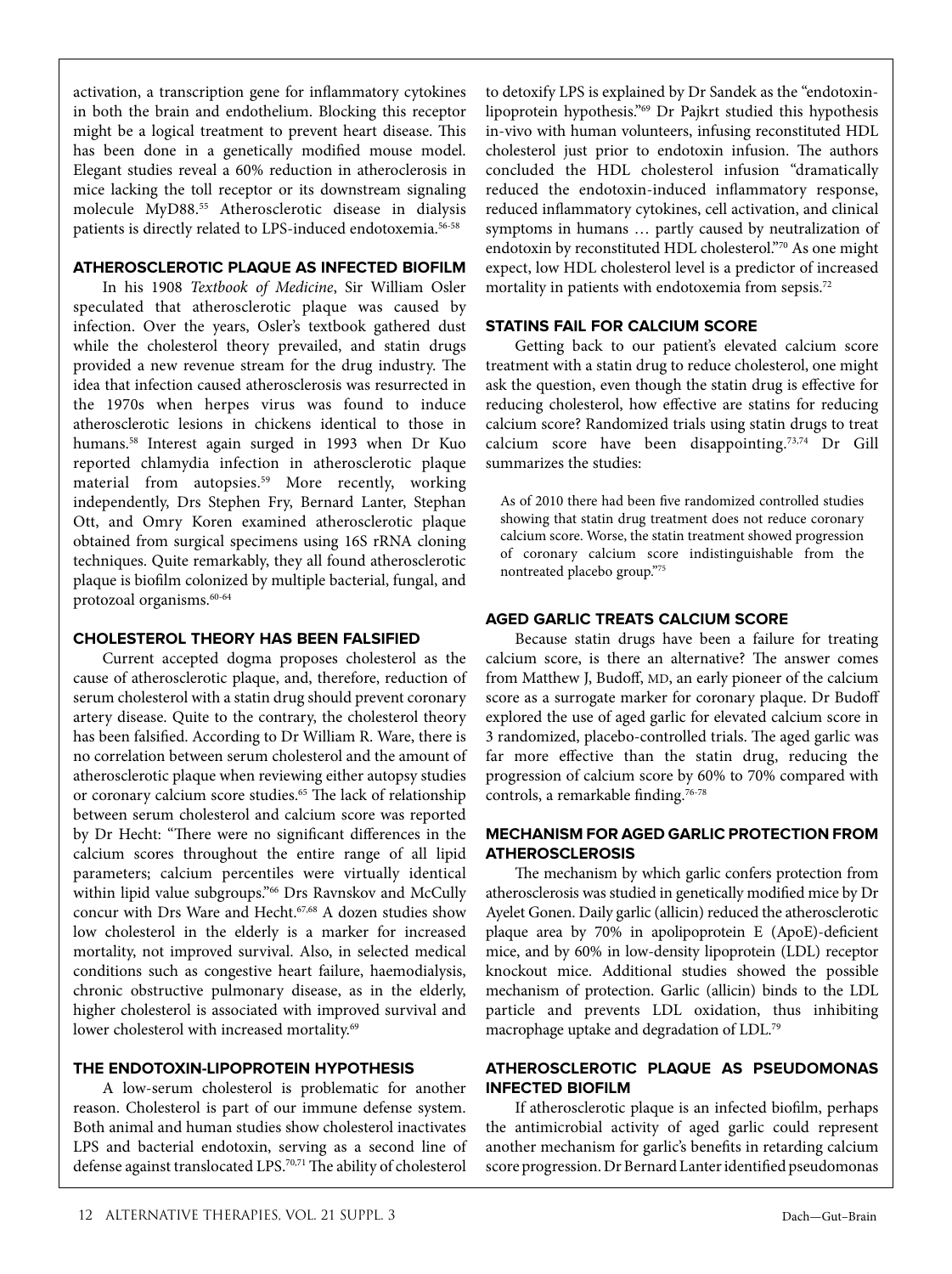activation, a transcription gene for inflammatory cytokines in both the brain and endothelium. Blocking this receptor might be a logical treatment to prevent heart disease. This has been done in a genetically modified mouse model. Elegant studies reveal a 60% reduction in atheroclerosis in mice lacking the toll receptor or its downstream signaling molecule MyD88.55 Atherosclerotic disease in dialysis patients is directly related to LPS-induced endotoxemia.56-58

#### **ATHEROSCLEROTIC PLAQUE AS INFECTED BIOFILM**

In his 1908 *Textbook of Medicine*, Sir William Osler speculated that atherosclerotic plaque was caused by infection. Over the years, Osler's textbook gathered dust while the cholesterol theory prevailed, and statin drugs provided a new revenue stream for the drug industry. The idea that infection caused atherosclerosis was resurrected in the 1970s when herpes virus was found to induce atherosclerotic lesions in chickens identical to those in humans.<sup>58</sup> Interest again surged in 1993 when Dr Kuo reported chlamydia infection in atherosclerotic plaque material from autopsies.<sup>59</sup> More recently, working independently, Drs Stephen Fry, Bernard Lanter, Stephan Ott, and Omry Koren examined atherosclerotic plaque obtained from surgical specimens using 16S rRNA cloning techniques. Quite remarkably, they all found atherosclerotic plaque is biofilm colonized by multiple bacterial, fungal, and protozoal organisms.<sup>60-64</sup>

#### **CHOLESTEROL THEORY HAS BEEN FALSIFIED**

Current accepted dogma proposes cholesterol as the cause of atherosclerotic plaque, and, therefore, reduction of serum cholesterol with a statin drug should prevent coronary artery disease. Quite to the contrary, the cholesterol theory has been falsified. According to Dr William R. Ware, there is no correlation between serum cholesterol and the amount of atherosclerotic plaque when reviewing either autopsy studies or coronary calcium score studies.<sup>65</sup> The lack of relationship between serum cholesterol and calcium score was reported by Dr Hecht: "There were no significant differences in the calcium scores throughout the entire range of all lipid parameters; calcium percentiles were virtually identical within lipid value subgroups."66 Drs Ravnskov and McCully concur with Drs Ware and Hecht.<sup>67,68</sup> A dozen studies show low cholesterol in the elderly is a marker for increased mortality, not improved survival. Also, in selected medical conditions such as congestive heart failure, haemodialysis, chronic obstructive pulmonary disease, as in the elderly, higher cholesterol is associated with improved survival and lower cholesterol with increased mortality.<sup>69</sup>

## **THE ENDOTOXIN-LIPOPROTEIN HYPOTHESIS**

A low-serum cholesterol is problematic for another reason. Cholesterol is part of our immune defense system. Both animal and human studies show cholesterol inactivates LPS and bacterial endotoxin, serving as a second line of defense against translocated LPS.<sup>70,71</sup> The ability of cholesterol

to detoxify LPS is explained by Dr Sandek as the "endotoxinlipoprotein hypothesis."69 Dr Pajkrt studied this hypothesis in-vivo with human volunteers, infusing reconstituted HDL cholesterol just prior to endotoxin infusion. The authors concluded the HDL cholesterol infusion "dramatically reduced the endotoxin-induced inflammatory response, reduced inflammatory cytokines, cell activation, and clinical symptoms in humans … partly caused by neutralization of endotoxin by reconstituted HDL cholesterol."70 As one might expect, low HDL cholesterol level is a predictor of increased mortality in patients with endotoxemia from sepsis.<sup>72</sup>

#### **STATINS FAIL FOR CALCIUM SCORE**

Getting back to our patient's elevated calcium score treatment with a statin drug to reduce cholesterol, one might ask the question, even though the statin drug is effective for reducing cholesterol, how effective are statins for reducing calcium score? Randomized trials using statin drugs to treat calcium score have been disappointing.73,74 Dr Gill summarizes the studies:

As of 2010 there had been five randomized controlled studies showing that statin drug treatment does not reduce coronary calcium score. Worse, the statin treatment showed progression of coronary calcium score indistinguishable from the nontreated placebo group."75

#### **AGED GARLIC TREATS CALCIUM SCORE**

Because statin drugs have been a failure for treating calcium score, is there an alternative? The answer comes from Matthew J, Budoff, MD, an early pioneer of the calcium score as a surrogate marker for coronary plaque. Dr Budoff explored the use of aged garlic for elevated calcium score in 3 randomized, placebo-controlled trials. The aged garlic was far more effective than the statin drug, reducing the progression of calcium score by 60% to 70% compared with controls, a remarkable finding.76-78

#### **MECHANISM FOR AGED GARLIC PROTECTION FROM ATHEROSCLEROSIS**

The mechanism by which garlic confers protection from atherosclerosis was studied in genetically modified mice by Dr Ayelet Gonen. Daily garlic (allicin) reduced the atherosclerotic plaque area by 70% in apolipoprotein E (ApoE)-deficient mice, and by 60% in low-density lipoprotein (LDL) receptor knockout mice. Additional studies showed the possible mechanism of protection. Garlic (allicin) binds to the LDL particle and prevents LDL oxidation, thus inhibiting macrophage uptake and degradation of LDL.79

#### **ATHEROSCLEROTIC PLAQUE AS PSEUDOMONAS INFECTED BIOFILM**

If atherosclerotic plaque is an infected biofilm, perhaps the antimicrobial activity of aged garlic could represent another mechanism for garlic's benefits in retarding calcium score progression. Dr Bernard Lanter identified pseudomonas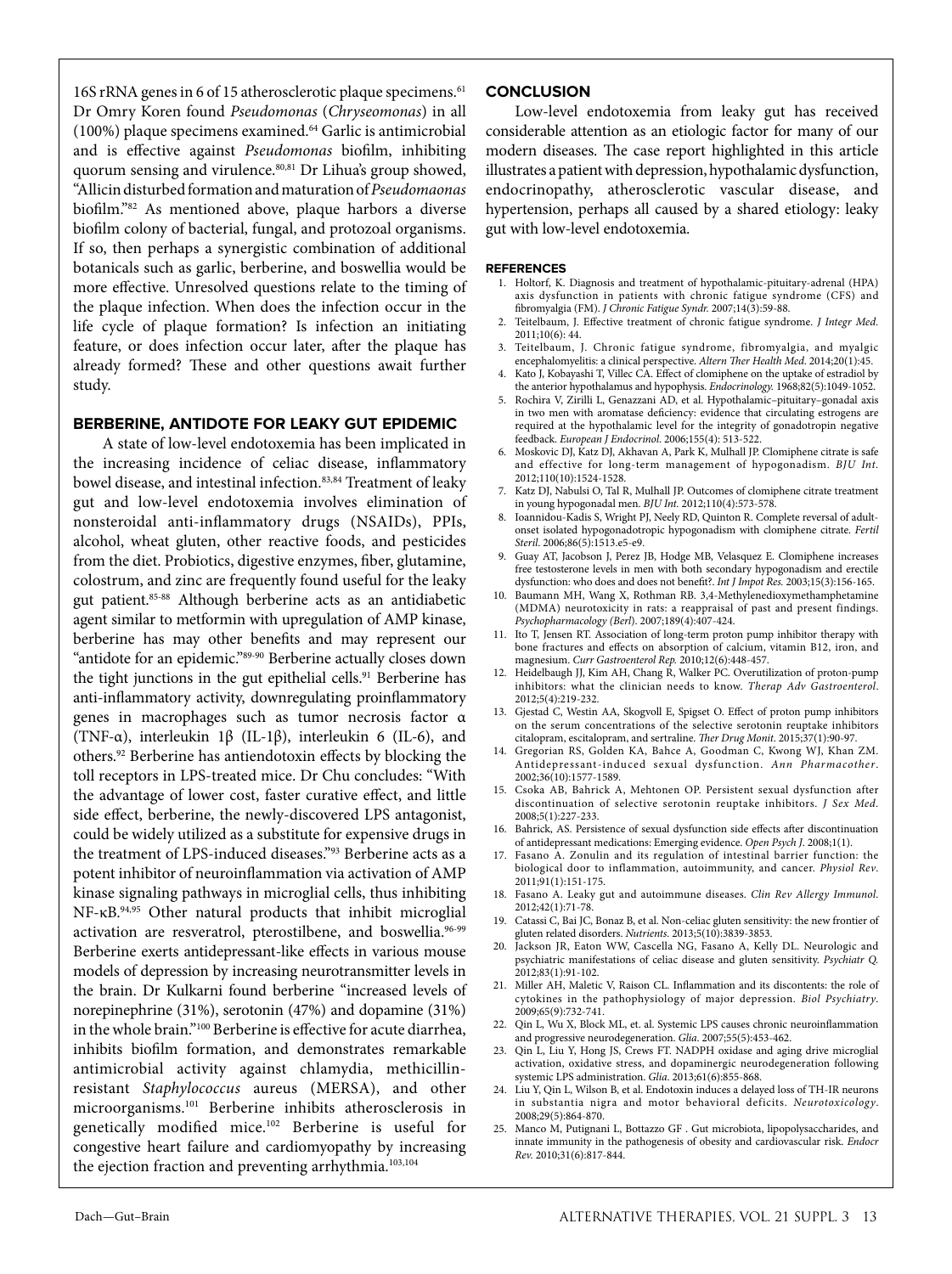16S rRNA genes in 6 of 15 atherosclerotic plaque specimens.<sup>61</sup> Dr Omry Koren found *Pseudomonas* (*Chryseomonas*) in all (100%) plaque specimens examined.64 Garlic is antimicrobial and is effective against *Pseudomonas* biofilm, inhibiting quorum sensing and virulence.<sup>80,81</sup> Dr Lihua's group showed, "Allicin disturbed formation and maturation of *Pseudomaonas* biofilm."82 As mentioned above, plaque harbors a diverse biofilm colony of bacterial, fungal, and protozoal organisms. If so, then perhaps a synergistic combination of additional botanicals such as garlic, berberine, and boswellia would be more effective. Unresolved questions relate to the timing of the plaque infection. When does the infection occur in the life cycle of plaque formation? Is infection an initiating feature, or does infection occur later, after the plaque has already formed? These and other questions await further study.

#### **BERBERINE, ANTIDOTE FOR LEAKY GUT EPIDEMIC**

A state of low-level endotoxemia has been implicated in the increasing incidence of celiac disease, inflammatory bowel disease, and intestinal infection.<sup>83,84</sup> Treatment of leaky gut and low-level endotoxemia involves elimination of nonsteroidal anti-inflammatory drugs (NSAIDs), PPIs, alcohol, wheat gluten, other reactive foods, and pesticides from the diet. Probiotics, digestive enzymes, fiber, glutamine, colostrum, and zinc are frequently found useful for the leaky gut patient.85-88 Although berberine acts as an antidiabetic agent similar to metformin with upregulation of AMP kinase, berberine has may other benefits and may represent our "antidote for an epidemic."89-90 Berberine actually closes down the tight junctions in the gut epithelial cells.<sup>91</sup> Berberine has anti-inflammatory activity, downregulating proinflammatory genes in macrophages such as tumor necrosis factor α (TNF- $\alpha$ ), interleukin 1 $\beta$  (IL-1 $\beta$ ), interleukin 6 (IL-6), and others.92 Berberine has antiendotoxin effects by blocking the toll receptors in LPS-treated mice. Dr Chu concludes: "With the advantage of lower cost, faster curative effect, and little side effect, berberine, the newly-discovered LPS antagonist, could be widely utilized as a substitute for expensive drugs in the treatment of LPS-induced diseases."93 Berberine acts as a potent inhibitor of neuroinflammation via activation of AMP kinase signaling pathways in microglial cells, thus inhibiting NF-κΒ.94,95 Other natural products that inhibit microglial activation are resveratrol, pterostilbene, and boswellia.<sup>96-99</sup> Berberine exerts antidepressant-like effects in various mouse models of depression by increasing neurotransmitter levels in the brain. Dr Kulkarni found berberine "increased levels of norepinephrine (31%), serotonin (47%) and dopamine (31%) in the whole brain."100 Berberine is effective for acute diarrhea, inhibits biofilm formation, and demonstrates remarkable antimicrobial activity against chlamydia, methicillinresistant *Staphylococcus* aureus (MERSA), and other microorganisms.101 Berberine inhibits atherosclerosis in genetically modified mice.102 Berberine is useful for congestive heart failure and cardiomyopathy by increasing the ejection fraction and preventing arrhythmia.<sup>103,104</sup>

#### **CONCLUSION**

Low-level endotoxemia from leaky gut has received considerable attention as an etiologic factor for many of our modern diseases. The case report highlighted in this article illustrates a patient with depression, hypothalamic dysfunction, endocrinopathy, atherosclerotic vascular disease, and hypertension, perhaps all caused by a shared etiology: leaky gut with low-level endotoxemia.

#### **REFERENCES**

- 1. Holtorf, K. Diagnosis and treatment of hypothalamic-pituitary-adrenal (HPA) axis dysfunction in patients with chronic fatigue syndrome (CFS) and fibromyalgia (FM). *J Chronic Fatigue Syndr.* 2007;14(3):59-88.
- 2. Teitelbaum, J. Effective treatment of chronic fatigue syndrome. *J Integr Med.*  2011;10(6): 44.
- 3. Teitelbaum, J. Chronic fatigue syndrome, fibromyalgia, and myalgic encephalomyelitis: a clinical perspective. *Altern Ther Health Med*. 2014;20(1):45.
- 4. Kato J, Kobayashi T, Villec CA. Effect of clomiphene on the uptake of estradiol by the anterior hypothalamus and hypophysis. *Endocrinology.* 1968;82(5):1049-1052.
- 5. Rochira V, Zirilli L, Genazzani AD, et al. Hypothalamic–pituitary–gonadal axis in two men with aromatase deficiency: evidence that circulating estrogens are required at the hypothalamic level for the integrity of gonadotropin negative feedback. *European J Endocrinol*. 2006;155(4): 513-522.
- 6. Moskovic DJ, Katz DJ, Akhavan A, Park K, Mulhall JP. Clomiphene citrate is safe and effective for long‐term management of hypogonadism. *BJU Int.*  2012;110(10):1524-1528.
- 7. Katz DJ, Nabulsi O, Tal R, Mulhall JP. Outcomes of clomiphene citrate treatment in young hypogonadal men. *BJU Int.* 2012;110(4):573-578.
- 8. Ioannidou-Kadis S, Wright PJ, Neely RD, Quinton R. Complete reversal of adultonset isolated hypogonadotropic hypogonadism with clomiphene citrate. *Fertil Steril*. 2006;86(5):1513.e5-e9.
- 9. Guay AT, Jacobson J, Perez JB, Hodge MB, Velasquez E. Clomiphene increases free testosterone levels in men with both secondary hypogonadism and erectile dysfunction: who does and does not benefit?. *Int J Impot Res.* 2003;15(3):156-165.
- 10. Baumann MH, Wang X, Rothman RB. 3,4-Methylenedioxymethamphetamine (MDMA) neurotoxicity in rats: a reappraisal of past and present findings. *Psychopharmacology (Berl*). 2007;189(4):407-424.
- 11. Ito T, Jensen RT. Association of long-term proton pump inhibitor therapy with bone fractures and effects on absorption of calcium, vitamin B12, iron, and magnesium. *Curr Gastroenterol Rep.* 2010;12(6):448-457.
- 12. Heidelbaugh JJ, Kim AH, Chang R, Walker PC. Overutilization of proton-pump inhibitors: what the clinician needs to know. *Therap Adv Gastroenterol*. 2012;5(4):219-232.
- 13. Gjestad C, Westin AA, Skogvoll E, Spigset O. Effect of proton pump inhibitors on the serum concentrations of the selective serotonin reuptake inhibitors citalopram, escitalopram, and sertraline. *Ther Drug Monit*. 2015;37(1):90-97.
- 14. Gregorian RS, Golden KA, Bahce A, Goodman C, Kwong WJ, Khan ZM. Antidepressant-induced sexual dysfunction. *Ann Pharmacother*. 2002;36(10):1577-1589.
- 15. Csoka AB, Bahrick A, Mehtonen OP. Persistent sexual dysfunction after discontinuation of selective serotonin reuptake inhibitors. *J Sex Med.* 2008;5(1):227-233.
- 16. Bahrick, AS. Persistence of sexual dysfunction side effects after discontinuation of antidepressant medications: Emerging evidence. *Open Psych J*. 2008;1(1).
- 17. Fasano A. Zonulin and its regulation of intestinal barrier function: the biological door to inflammation, autoimmunity, and cancer. *Physiol Rev*. 2011;91(1):151-175.
- 18. Fasano A. Leaky gut and autoimmune diseases. *Clin Rev Allergy Immunol*. 2012;42(1):71-78.
- 19. Catassi C, Bai JC, Bonaz B, et al. Non-celiac gluten sensitivity: the new frontier of gluten related disorders. *Nutrients*. 2013;5(10):3839-3853.
- 20. Jackson JR, Eaton WW, Cascella NG, Fasano A, Kelly DL. Neurologic and psychiatric manifestations of celiac disease and gluten sensitivity. *Psychiatr Q.*  $2012:83(1):91-102.$
- 21. Miller AH, Maletic V, Raison CL. Inflammation and its discontents: the role of cytokines in the pathophysiology of major depression. *Biol Psychiatry*. 2009;65(9):732-741.
- 22. Qin L, Wu X, Block ML, et. al. Systemic LPS causes chronic neuroinflammation and progressive neurodegeneration. *Glia*. 2007;55(5):453-462.
- 23. Qin L, Liu Y, Hong JS, Crews FT. NADPH oxidase and aging drive microglial activation, oxidative stress, and dopaminergic neurodegeneration following systemic LPS administration. *Glia*. 2013;61(6):855-868.
- 24. Liu Y, Qin L, Wilson B, et al. Endotoxin induces a delayed loss of TH-IR neurons in substantia nigra and motor behavioral deficits. *Neurotoxicology*. 2008;29(5):864-870.
- 25. Manco M, Putignani L, Bottazzo GF . Gut microbiota, lipopolysaccharides, and innate immunity in the pathogenesis of obesity and cardiovascular risk. *Endocr Rev.* 2010;31(6):817-844.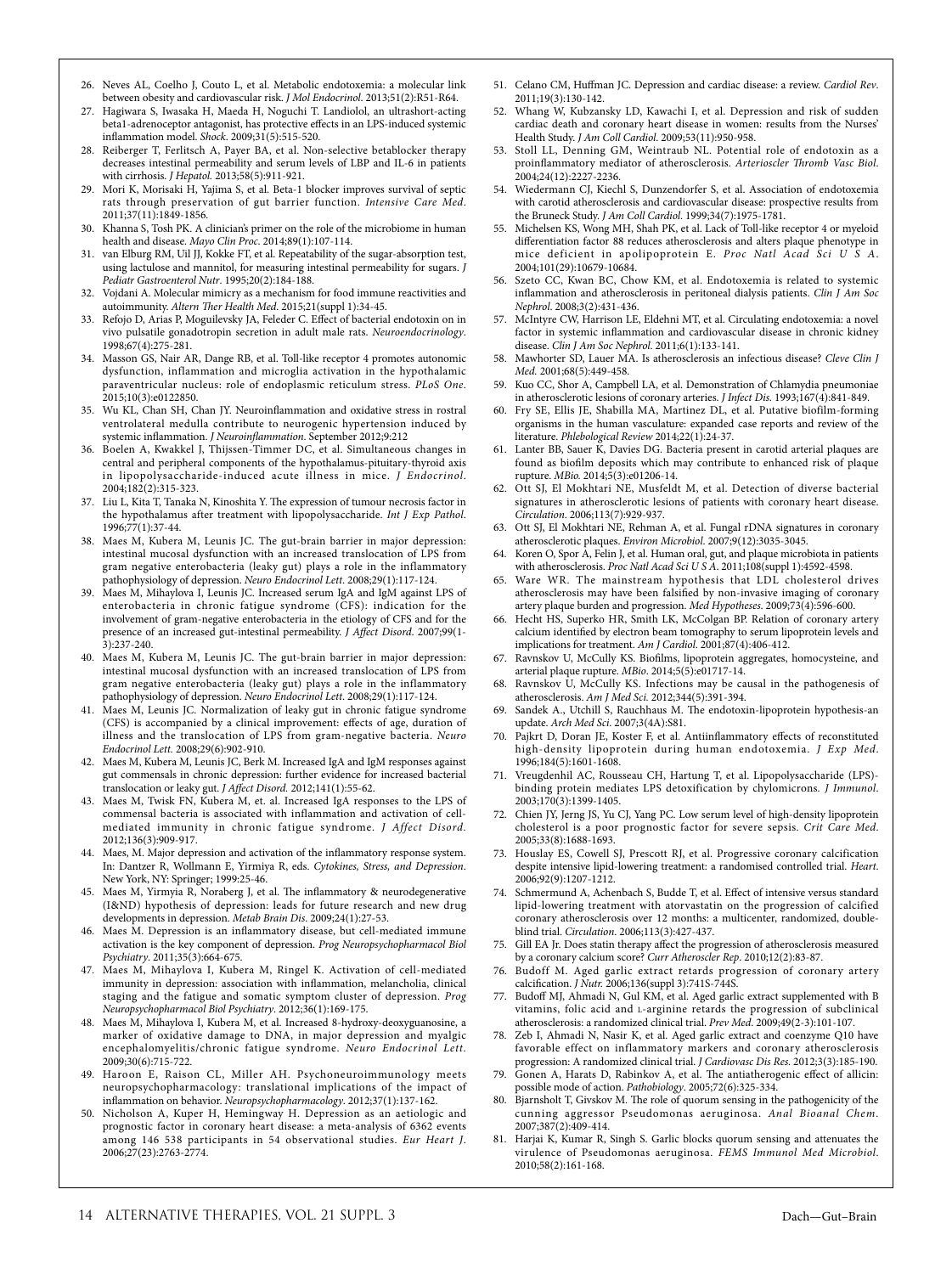- 26. Neves AL, Coelho J, Couto L, et al. Metabolic endotoxemia: a molecular link between obesity and cardiovascular risk. *J Mol Endocrinol*. 2013;51(2):R51-R64.
- 27. Hagiwara S, Iwasaka H, Maeda H, Noguchi T. Landiolol, an ultrashort-acting beta1-adrenoceptor antagonist, has protective effects in an LPS-induced systemic inflammation model. *Shock*. 2009;31(5):515-520.
- 28. Reiberger T, Ferlitsch A, Payer BA, et al. Non-selective betablocker therapy decreases intestinal permeability and serum levels of LBP and IL-6 in patients with cirrhosis. *J Hepatol.* 2013;58(5):911-921.
- 29. Mori K, Morisaki H, Yajima S, et al. Beta-1 blocker improves survival of septic rats through preservation of gut barrier function. *Intensive Care Med*. 2011;37(11):1849-1856.
- Khanna S, Tosh PK. A clinician's primer on the role of the microbiome in human health and disease. *Mayo Clin Proc*. 2014;89(1):107-114.
- 31. van Elburg RM, Uil JJ, Kokke FT, et al. Repeatability of the sugar-absorption test, using lactulose and mannitol, for measuring intestinal permeability for sugars. *J Pediatr Gastroenterol Nutr*. 1995;20(2):184-188.
- 32. Vojdani A. Molecular mimicry as a mechanism for food immune reactivities and autoimmunity. *Altern Ther Health Med*. 2015;21(suppl 1):34-45.
- 33. Refojo D, Arias P, Moguilevsky JA, Feleder C. Effect of bacterial endotoxin on in vivo pulsatile gonadotropin secretion in adult male rats. *Neuroendocrinology*. 1998;67(4):275-281.
- 34. Masson GS, Nair AR, Dange RB, et al. Toll-like receptor 4 promotes autonomic dysfunction, inflammation and microglia activation in the hypothalamic paraventricular nucleus: role of endoplasmic reticulum stress. *PLoS One*. 2015;10(3):e0122850.
- 35. Wu KL, Chan SH, Chan JY. Neuroinflammation and oxidative stress in rostral ventrolateral medulla contribute to neurogenic hypertension induced by systemic inflammation. *J Neuroinflammation*. September 2012;9:212
- 36. Boelen A, Kwakkel J, Thijssen-Timmer DC, et al. Simultaneous changes in central and peripheral components of the hypothalamus-pituitary-thyroid axis in lipopolysaccharide-induced acute illness in mice. *J Endocrinol*. 2004;182(2):315-323.
- 37. Liu L, Kita T, Tanaka N, Kinoshita Y. The expression of tumour necrosis factor in the hypothalamus after treatment with lipopolysaccharide. *Int J Exp Pathol*. 1996;77(1):37-44.
- 38. Maes M, Kubera M, Leunis JC. The gut-brain barrier in major depression: intestinal mucosal dysfunction with an increased translocation of LPS from gram negative enterobacteria (leaky gut) plays a role in the inflammatory pathophysiology of depression. *Neuro Endocrinol Lett*. 2008;29(1):117-124.
- 39. Maes M, Mihaylova I, Leunis JC. Increased serum IgA and IgM against LPS of enterobacteria in chronic fatigue syndrome (CFS): indication for the involvement of gram-negative enterobacteria in the etiology of CFS and for the presence of an increased gut-intestinal permeability. *J Affect Disord*. 2007;99(1- 3):237-240.
- 40. Maes M, Kubera M, Leunis JC. The gut-brain barrier in major depression: intestinal mucosal dysfunction with an increased translocation of LPS from gram negative enterobacteria (leaky gut) plays a role in the inflammatory pathophysiology of depression. *Neuro Endocrinol Lett*. 2008;29(1):117-124.
- 41. Maes M, Leunis JC. Normalization of leaky gut in chronic fatigue syndrome (CFS) is accompanied by a clinical improvement: effects of age, duration of illness and the translocation of LPS from gram-negative bacteria. *Neuro Endocrinol Lett.* 2008;29(6):902-910.
- 42. Maes M, Kubera M, Leunis JC, Berk M. Increased IgA and IgM responses against gut commensals in chronic depression: further evidence for increased bacterial translocation or leaky gut. *J Affect Disord.* 2012;141(1):55-62.
- 43. Maes M, Twisk FN, Kubera M, et. al. Increased IgA responses to the LPS of commensal bacteria is associated with inflammation and activation of cellmediated immunity in chronic fatigue syndrome. *J Affect Disord.* 2012;136(3):909-917.
- 44. Maes, M. Major depression and activation of the inflammatory response system. In: Dantzer R, Wollmann E, Yirmiya R, eds. *Cytokines, Stress, and Depression*. New York, NY: Springer; 1999:25-46.
- 45. Maes M, Yirmyia R, Noraberg J, et al. The inflammatory & neurodegenerative (I&ND) hypothesis of depression: leads for future research and new drug developments in depression. *Metab Brain Dis*. 2009;24(1):27-53.
- 46. Maes M. Depression is an inflammatory disease, but cell-mediated immune activation is the key component of depression. *Prog Neuropsychopharmacol Biol Psychiatry*. 2011;35(3):664-675.
- 47. Maes M, Mihaylova I, Kubera M, Ringel K. Activation of cell-mediated immunity in depression: association with inflammation, melancholia, clinical staging and the fatigue and somatic symptom cluster of depression. *Prog Neuropsychopharmacol Biol Psychiatry*. 2012;36(1):169-175.
- 48. Maes M, Mihaylova I, Kubera M, et al. Increased 8-hydroxy-deoxyguanosine, a marker of oxidative damage to DNA, in major depression and myalgic encephalomyelitis/chronic fatigue syndrome. *Neuro Endocrinol Lett.* 2009;30(6):715-722.
- 49. Haroon E, Raison CL, Miller AH. Psychoneuroimmunology meets neuropsychopharmacology: translational implications of the impact of inflammation on behavior. *Neuropsychopharmacology*. 2012;37(1):137-162.
- 50. Nicholson A, Kuper H, Hemingway H. Depression as an aetiologic and prognostic factor in coronary heart disease: a meta-analysis of 6362 events among 146 538 participants in 54 observational studies. *Eur Heart J*. 2006;27(23):2763-2774.
- 51. Celano CM, Huffman JC. Depression and cardiac disease: a review. *Cardiol Rev*. 2011;19(3):130-142.
- 52. Whang W, Kubzansky LD, Kawachi I, et al. Depression and risk of sudden cardiac death and coronary heart disease in women: results from the Nurses' Health Study. *J Am Coll Cardiol*. 2009;53(11):950-958.
- 53. Stoll LL, Denning GM, Weintraub NL. Potential role of endotoxin as a proinflammatory mediator of atherosclerosis. *Arterioscler Thromb Vasc Biol*. 2004;24(12):2227-2236.
- 54. Wiedermann CJ, Kiechl S, Dunzendorfer S, et al. Association of endotoxemia with carotid atherosclerosis and cardiovascular disease: prospective results from the Bruneck Study. *J Am Coll Cardiol*. 1999;34(7):1975-1781.
- 55. Michelsen KS, Wong MH, Shah PK, et al. Lack of Toll-like receptor 4 or myeloid differentiation factor 88 reduces atherosclerosis and alters plaque phenotype in mice deficient in apolipoprotein E. *Proc Natl Acad Sci U S A*. 2004;101(29):10679-10684.
- Szeto CC, Kwan BC, Chow KM, et al. Endotoxemia is related to systemic inflammation and atherosclerosis in peritoneal dialysis patients. *Clin J Am Soc Nephrol*. 2008;3(2):431-436.
- 57. McIntyre CW, Harrison LE, Eldehni MT, et al. Circulating endotoxemia: a novel factor in systemic inflammation and cardiovascular disease in chronic kidney disease. *Clin J Am Soc Nephrol*. 2011;6(1):133-141.
- 58. Mawhorter SD, Lauer MA. Is atherosclerosis an infectious disease? *Cleve Clin J Med.* 2001;68(5):449-458.
- 59. Kuo CC, Shor A, Campbell LA, et al. Demonstration of Chlamydia pneumoniae in atherosclerotic lesions of coronary arteries. *J Infect Dis.* 1993;167(4):841-849.
- 60. Fry SE, Ellis JE, Shabilla MA, Martinez DL, et al. Putative biofilm-forming organisms in the human vasculature: expanded case reports and review of the literature. *Phlebological Review* 2014;22(1):24-37.
- 61. Lanter BB, Sauer K, Davies DG. Bacteria present in carotid arterial plaques are found as biofilm deposits which may contribute to enhanced risk of plaque rupture. *MBio.* 2014;5(3):e01206-14.
- 62. Ott SJ, El Mokhtari NE, Musfeldt M, et al. Detection of diverse bacterial signatures in atherosclerotic lesions of patients with coronary heart disease. *Circulation*. 2006;113(7):929-937.
- 63. Ott SJ, El Mokhtari NE, Rehman A, et al. Fungal rDNA signatures in coronary atherosclerotic plaques. *Environ Microbiol*. 2007;9(12):3035-3045.
- 64. Koren O, Spor A, Felin J, et al. Human oral, gut, and plaque microbiota in patients with atherosclerosis. *Proc Natl Acad Sci U S A*. 2011;108(suppl 1):4592-4598.
- 65. Ware WR. The mainstream hypothesis that LDL cholesterol drives atherosclerosis may have been falsified by non-invasive imaging of coronary artery plaque burden and progression. *Med Hypotheses*. 2009;73(4):596-600.
- 66. Hecht HS, Superko HR, Smith LK, McColgan BP. Relation of coronary artery calcium identified by electron beam tomography to serum lipoprotein levels and implications for treatment. *Am J Cardiol*. 2001;87(4):406-412.
- 67. Ravnskov U, McCully KS. Biofilms, lipoprotein aggregates, homocysteine, and arterial plaque rupture. *MBio*. 2014;5(5):e01717-14.
- 68. Ravnskov U, McCully KS. Infections may be causal in the pathogenesis of atherosclerosis. *Am J Med Sci.* 2012;344(5):391-394.
- 69. Sandek A., Utchill S, Rauchhaus M. The endotoxin-lipoprotein hypothesis-an update. *Arch Med Sci*. 2007;3(4A):S81.
- 70. Pajkrt D, Doran JE, Koster F, et al. Antiinflammatory effects of reconstituted high-density lipoprotein during human endotoxemia. *J Exp Med*. 1996;184(5):1601-1608.
- 71. Vreugdenhil AC, Rousseau CH, Hartung T, et al. Lipopolysaccharide (LPS) binding protein mediates LPS detoxification by chylomicrons*. J Immunol*. 2003;170(3):1399-1405.
- 72. Chien JY, Jerng JS, Yu CJ, Yang PC. Low serum level of high-density lipoprotein cholesterol is a poor prognostic factor for severe sepsis. *Crit Care Med*. 2005;33(8):1688-1693.
- 73. Houslay ES, Cowell SJ, Prescott RJ, et al. Progressive coronary calcification despite intensive lipid-lowering treatment: a randomised controlled trial. *Heart*. 2006;92(9):1207-1212.
- Schmermund A, Achenbach S, Budde T, et al. Effect of intensive versus standard lipid-lowering treatment with atorvastatin on the progression of calcified coronary atherosclerosis over 12 months: a multicenter, randomized, doubleblind trial. *Circulation*. 2006;113(3):427-437.
- 75. Gill EA Jr. Does statin therapy affect the progression of atherosclerosis measured by a coronary calcium score? *Curr Atheroscler Rep*. 2010;12(2):83-87.
- 76. Budoff M. Aged garlic extract retards progression of coronary artery calcification. *J Nutr.* 2006;136(suppl 3):741S-744S.
- 77. Budoff MJ, Ahmadi N, Gul KM, et al. Aged garlic extract supplemented with B vitamins, folic acid and L-arginine retards the progression of subclinical atherosclerosis: a randomized clinical trial. *Prev Med*. 2009;49(2-3):101-107.
- 78. Zeb I, Ahmadi N, Nasir K, et al. Aged garlic extract and coenzyme Q10 have favorable effect on inflammatory markers and coronary atherosclerosis progression: A randomized clinical trial. *J Cardiovasc Dis Res*. 2012;3(3):185-190.
- 79. Gonen A, Harats D, Rabinkov A, et al. The antiatherogenic effect of allicin: possible mode of action. *Pathobiology*. 2005;72(6):325-334.
- 80. Bjarnsholt T, Givskov M. The role of quorum sensing in the pathogenicity of the cunning aggressor Pseudomonas aeruginosa. *Anal Bioanal Chem*. 2007;387(2):409-414.
- 81. Harjai K, Kumar R, Singh S. Garlic blocks quorum sensing and attenuates the virulence of Pseudomonas aeruginosa. *FEMS Immunol Med Microbiol*. 2010;58(2):161-168.